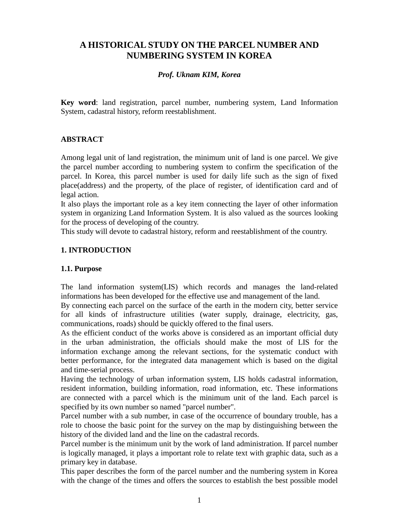# **A HISTORICAL STUDY ON THE PARCEL NUMBER AND NUMBERING SYSTEM IN KOREA**

#### *Prof. Uknam KIM, Korea*

**Key word**: land registration, parcel number, numbering system, Land Information System, cadastral history, reform reestablishment.

#### **ABSTRACT**

Among legal unit of land registration, the minimum unit of land is one parcel. We give the parcel number according to numbering system to confirm the specification of the parcel. In Korea, this parcel number is used for daily life such as the sign of fixed place(address) and the property, of the place of register, of identification card and of legal action.

It also plays the important role as a key item connecting the layer of other information system in organizing Land Information System. It is also valued as the sources looking for the process of developing of the country.

This study will devote to cadastral history, reform and reestablishment of the country.

#### **1. INTRODUCTION**

#### **1.1. Purpose**

The land information system(LIS) which records and manages the land-related informations has been developed for the effective use and management of the land.

By connecting each parcel on the surface of the earth in the modern city, better service for all kinds of infrastructure utilities (water supply, drainage, electricity, gas, communications, roads) should be quickly offered to the final users.

As the efficient conduct of the works above is considered as an important official duty in the urban administration, the officials should make the most of LIS for the information exchange among the relevant sections, for the systematic conduct with better performance, for the integrated data management which is based on the digital and time-serial process.

Having the technology of urban information system, LIS holds cadastral information, resident information, building information, road information, etc. These informations are connected with a parcel which is the minimum unit of the land. Each parcel is specified by its own number so named "parcel number".

Parcel number with a sub number, in case of the occurrence of boundary trouble, has a role to choose the basic point for the survey on the map by distinguishing between the history of the divided land and the line on the cadastral records.

Parcel number is the minimum unit by the work of land administration. If parcel number is logically managed, it plays a important role to relate text with graphic data, such as a primary key in database.

This paper describes the form of the parcel number and the numbering system in Korea with the change of the times and offers the sources to establish the best possible model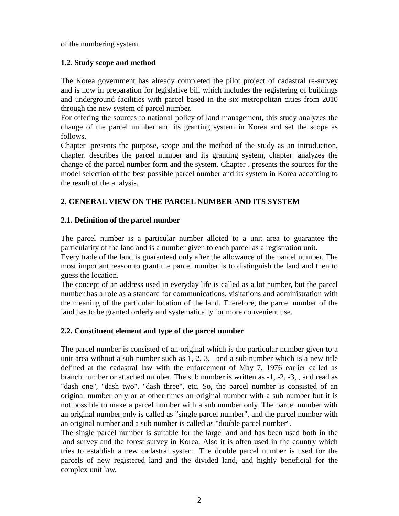of the numbering system.

# **1.2. Study scope and method**

The Korea government has already completed the pilot project of cadastral re-survey and is now in preparation for legislative bill which includes the registering of buildings and underground facilities with parcel based in the six metropolitan cities from 2010 through the new system of parcel number.

For offering the sources to national policy of land management, this study analyzes the change of the parcel number and its granting system in Korea and set the scope as follows.

Chapter presents the purpose, scope and the method of the study as an introduction, chapter, describes the parcel number and its granting system, chapter, analyzes the change of the parcel number form and the system. Chapter presents the sources for the model selection of the best possible parcel number and its system in Korea according to the result of the analysis.

# **2. GENERAL VIEW ON THE PARCEL NUMBER AND ITS SYSTEM**

# **2.1. Definition of the parcel number**

The parcel number is a particular number alloted to a unit area to guarantee the particularity of the land and is a number given to each parcel as a registration unit.

Every trade of the land is guaranteed only after the allowance of the parcel number. The most important reason to grant the parcel number is to distinguish the land and then to guess the location.

The concept of an address used in everyday life is called as a lot number, but the parcel number has a role as a standard for communications, visitations and administration with the meaning of the particular location of the land. Therefore, the parcel number of the land has to be granted orderly and systematically for more convenient use.

# **2.2. Constituent element and type of the parcel number**

The parcel number is consisted of an original which is the particular number given to a unit area without a sub number such as  $1, 2, 3$ , and a sub number which is a new title defined at the cadastral law with the enforcement of May 7, 1976 earlier called as branch number or attached number. The sub number is written as -1, -2, -3, and read as "dash one", "dash two", "dash three", etc. So, the parcel number is consisted of an original number only or at other times an original number with a sub number but it is not possible to make a parcel number with a sub number only. The parcel number with an original number only is called as "single parcel number", and the parcel number with an original number and a sub number is called as "double parcel number".

The single parcel number is suitable for the large land and has been used both in the land survey and the forest survey in Korea. Also it is often used in the country which tries to establish a new cadastral system. The double parcel number is used for the parcels of new registered land and the divided land, and highly beneficial for the complex unit law.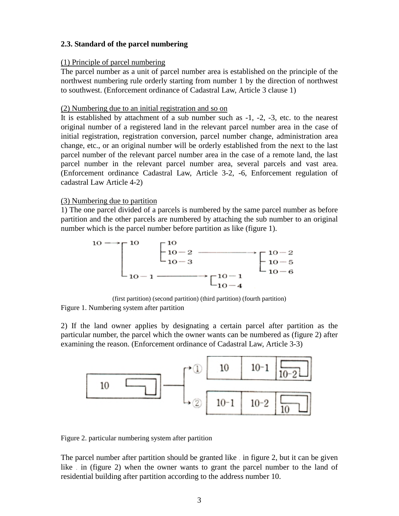# **2.3. Standard of the parcel numbering**

#### (1) Principle of parcel numbering

The parcel number as a unit of parcel number area is established on the principle of the northwest numbering rule orderly starting from number 1 by the direction of northwest to southwest. (Enforcement ordinance of Cadastral Law, Article 3 clause 1)

#### (2) Numbering due to an initial registration and so on

It is established by attachment of a sub number such as -1, -2, -3, etc. to the nearest original number of a registered land in the relevant parcel number area in the case of initial registration, registration conversion, parcel number change, administration area change, etc., or an original number will be orderly established from the next to the last parcel number of the relevant parcel number area in the case of a remote land, the last parcel number in the relevant parcel number area, several parcels and vast area. (Enforcement ordinance Cadastral Law, Article 3-2, -6, Enforcement regulation of cadastral Law Article 4-2)

#### (3) Numbering due to partition

1) The one parcel divided of a parcels is numbered by the same parcel number as before partition and the other parcels are numbered by attaching the sub number to an original number which is the parcel number before partition as like (figure 1).



(first partition) (second partition) (third partition) (fourth partition)

Figure 1. Numbering system after partition

2) If the land owner applies by designating a certain parcel after partition as the particular number, the parcel which the owner wants can be numbered as (figure 2) after examining the reason. (Enforcement ordinance of Cadastral Law, Article 3-3)



Figure 2. particular numbering system after partition

The parcel number after partition should be granted like in figure 2, but it can be given like in (figure 2) when the owner wants to grant the parcel number to the land of residential building after partition according to the address number 10.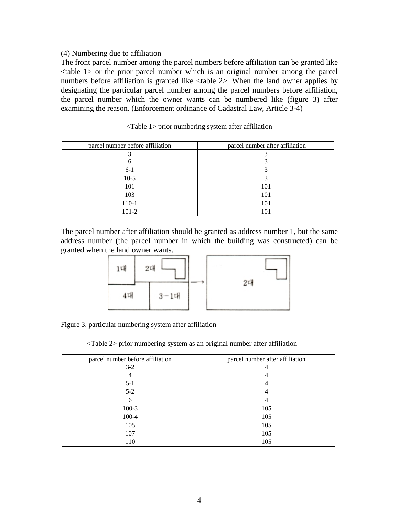#### (4) Numbering due to affiliation

The front parcel number among the parcel numbers before affiliation can be granted like <table 1> or the prior parcel number which is an original number among the parcel numbers before affiliation is granted like <table 2>. When the land owner applies by designating the particular parcel number among the parcel numbers before affiliation, the parcel number which the owner wants can be numbered like (figure 3) after examining the reason. (Enforcement ordinance of Cadastral Law, Article 3-4)

| parcel number before affiliation | parcel number after affiliation |  |
|----------------------------------|---------------------------------|--|
| 3                                |                                 |  |
| 6                                |                                 |  |
| $6-1$                            | 3                               |  |
| $10-5$                           | 3                               |  |
| 101                              | 101                             |  |
| 103                              | 101                             |  |
| 110-1                            | 101                             |  |
| $101-2$                          | 101                             |  |

<Table 1> prior numbering system after affiliation

The parcel number after affiliation should be granted as address number 1, but the same address number (the parcel number in which the building was constructed) can be granted when the land owner wants.



Figure 3. particular numbering system after affiliation

<Table 2> prior numbering system as an original number after affiliation

| parcel number before affiliation | parcel number after affiliation |  |
|----------------------------------|---------------------------------|--|
| $3-2$                            | 4                               |  |
| 4                                | 4                               |  |
| $5 - 1$                          | 4                               |  |
| $5 - 2$                          | 4                               |  |
| 6                                | 4                               |  |
| $100-3$                          | 105                             |  |
| $100 - 4$                        | 105                             |  |
| 105                              | 105                             |  |
| 107                              | 105                             |  |
| 110                              | 105                             |  |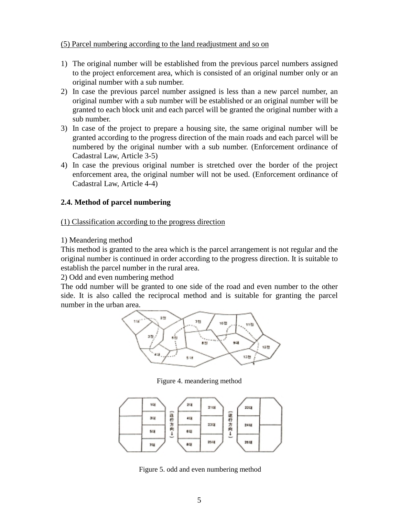#### (5) Parcel numbering according to the land readjustment and so on

- 1) The original number will be established from the previous parcel numbers assigned to the project enforcement area, which is consisted of an original number only or an original number with a sub number.
- 2) In case the previous parcel number assigned is less than a new parcel number, an original number with a sub number will be established or an original number will be granted to each block unit and each parcel will be granted the original number with a sub number.
- 3) In case of the project to prepare a housing site, the same original number will be granted according to the progress direction of the main roads and each parcel will be numbered by the original number with a sub number. (Enforcement ordinance of Cadastral Law, Article 3-5)
- 4) In case the previous original number is stretched over the border of the project enforcement area, the original number will not be used. (Enforcement ordinance of Cadastral Law, Article 4-4)

# **2.4. Method of parcel numbering**

#### (1) Classification according to the progress direction

# 1) Meandering method

This method is granted to the area which is the parcel arrangement is not regular and the original number is continued in order according to the progress direction. It is suitable to establish the parcel number in the rural area.

2) Odd and even numbering method

The odd number will be granted to one side of the road and even number to the other side. It is also called the reciprocal method and is suitable for granting the parcel number in the urban area.



Figure 4. meandering method



Figure 5. odd and even numbering method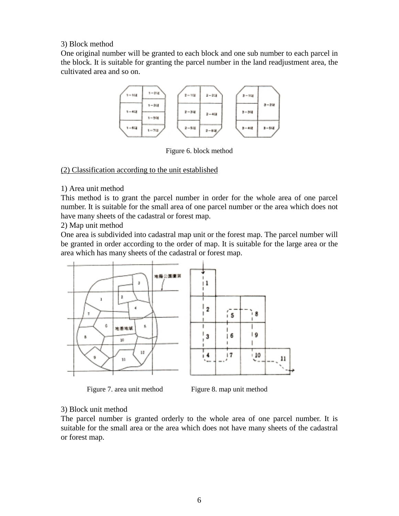#### 3) Block method

One original number will be granted to each block and one sub number to each parcel in the block. It is suitable for granting the parcel number in the land readjustment area, the cultivated area and so on.



Figure 6. block method

#### (2) Classification according to the unit established

#### 1) Area unit method

This method is to grant the parcel number in order for the whole area of one parcel number. It is suitable for the small area of one parcel number or the area which does not have many sheets of the cadastral or forest map.

2) Map unit method

One area is subdivided into cadastral map unit or the forest map. The parcel number will be granted in order according to the order of map. It is suitable for the large area or the area which has many sheets of the cadastral or forest map.



Figure 7. area unit method Figure 8. map unit method

# 3) Block unit method

The parcel number is granted orderly to the whole area of one parcel number. It is suitable for the small area or the area which does not have many sheets of the cadastral or forest map.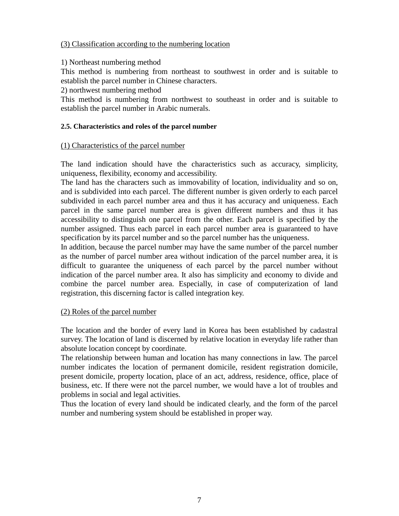#### (3) Classification according to the numbering location

#### 1) Northeast numbering method

This method is numbering from northeast to southwest in order and is suitable to establish the parcel number in Chinese characters.

2) northwest numbering method

This method is numbering from northwest to southeast in order and is suitable to establish the parcel number in Arabic numerals.

#### **2.5. Characteristics and roles of the parcel number**

#### (1) Characteristics of the parcel number

The land indication should have the characteristics such as accuracy, simplicity, uniqueness, flexibility, economy and accessibility.

The land has the characters such as immovability of location, individuality and so on, and is subdivided into each parcel. The different number is given orderly to each parcel subdivided in each parcel number area and thus it has accuracy and uniqueness. Each parcel in the same parcel number area is given different numbers and thus it has accessibility to distinguish one parcel from the other. Each parcel is specified by the number assigned. Thus each parcel in each parcel number area is guaranteed to have specification by its parcel number and so the parcel number has the uniqueness.

In addition, because the parcel number may have the same number of the parcel number as the number of parcel number area without indication of the parcel number area, it is difficult to guarantee the uniqueness of each parcel by the parcel number without indication of the parcel number area. It also has simplicity and economy to divide and combine the parcel number area. Especially, in case of computerization of land registration, this discerning factor is called integration key.

#### (2) Roles of the parcel number

The location and the border of every land in Korea has been established by cadastral survey. The location of land is discerned by relative location in everyday life rather than absolute location concept by coordinate.

The relationship between human and location has many connections in law. The parcel number indicates the location of permanent domicile, resident registration domicile, present domicile, property location, place of an act, address, residence, office, place of business, etc. If there were not the parcel number, we would have a lot of troubles and problems in social and legal activities.

Thus the location of every land should be indicated clearly, and the form of the parcel number and numbering system should be established in proper way.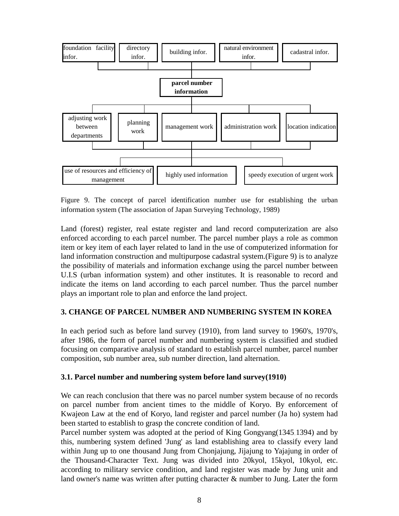

Figure 9. The concept of parcel identification number use for establishing the urban information system (The association of Japan Surveying Technology, 1989)

Land (forest) register, real estate register and land record computerization are also enforced according to each parcel number. The parcel number plays a role as common item or key item of each layer related to land in the use of computerized information for land information construction and multipurpose cadastral system.(Figure 9) is to analyze the possibility of materials and information exchange using the parcel number between U.I.S (urban information system) and other institutes. It is reasonable to record and indicate the items on land according to each parcel number. Thus the parcel number plays an important role to plan and enforce the land project.

# **3. CHANGE OF PARCEL NUMBER AND NUMBERING SYSTEM IN KOREA**

In each period such as before land survey (1910), from land survey to 1960's, 1970's, after 1986, the form of parcel number and numbering system is classified and studied focusing on comparative analysis of standard to establish parcel number, parcel number composition, sub number area, sub number direction, land alternation.

#### **3.1. Parcel number and numbering system before land survey(1910)**

We can reach conclusion that there was no parcel number system because of no records on parcel number from ancient times to the middle of Koryo. By enforcement of Kwajeon Law at the end of Koryo, land register and parcel number (Ja ho) system had been started to establish to grasp the concrete condition of land.

Parcel number system was adopted at the period of King Gongyang(1345.1394) and by this, numbering system defined 'Jung' as land establishing area to classify every land within Jung up to one thousand Jung from Chonjajung, Jijajung to Yajajung in order of the Thousand-Character Text. Jung was divided into 20kyol, 15kyol, 10kyol, etc. according to military service condition, and land register was made by Jung unit and land owner's name was written after putting character & number to Jung. Later the form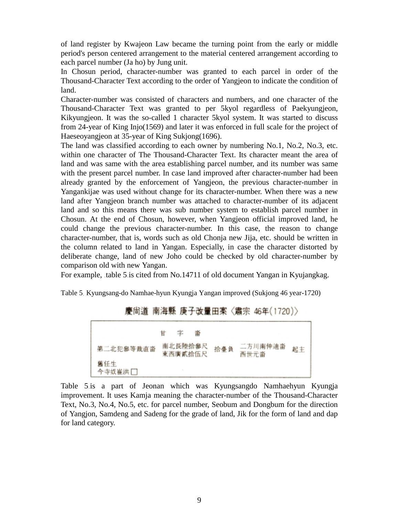of land register by Kwajeon Law became the turning point from the early or middle period's person centered arrangement to the material centered arrangement according to each parcel number (Ja ho) by Jung unit.

In Chosun period, character-number was granted to each parcel in order of the Thousand-Character Text according to the order of Yangjeon to indicate the condition of land.

Character-number was consisted of characters and numbers, and one character of the Thousand-Character Text was granted to per 5kyol regardless of Paekyungjeon, Kikyungjeon. It was the so-called 1 character 5kyol system. It was started to discuss from 24-year of King Injo(1569) and later it was enforced in full scale for the project of Haeseoyangjeon at 35-year of King Sukjong(1696).

The land was classified according to each owner by numbering No.1, No.2, No.3, etc. within one character of The Thousand-Character Text. Its character meant the area of land and was same with the area establishing parcel number, and its number was same with the present parcel number. In case land improved after character-number had been already granted by the enforcement of Yangjeon, the previous character-number in Yangankijae was used without change for its character-number. When there was a new land after Yangjeon branch number was attached to character-number of its adjacent land and so this means there was sub number system to establish parcel number in Chosun. At the end of Chosun, however, when Yangjeon official improved land, he could change the previous character-number. In this case, the reason to change character-number, that is, words such as old Chonja new Jija, etc. should be written in the column related to land in Yangan. Especially, in case the character distorted by deliberate change, land of new Joho could be checked by old character-number by comparison old with new Yangan.

For example, table 5 is cited from No.14711 of old document Yangan in Kyujangkag.

Table 5 Kyungsang-do Namhae-hyun Kyungja Yangan improved (Sukjong 46 year-1720)

# 慶尙道 南海縣 庚子改量田案〈肅宗 46年(1720)〉



Table 5 is a part of Jeonan which was Kyungsangdo Namhaehyun Kyungja improvement. It uses Kamja meaning the character-number of the Thousand-Character Text, No.3, No.4, No.5, etc. for parcel number, Seobum and Dongbum for the direction of Yangjon, Samdeng and Sadeng for the grade of land, Jik for the form of land and dap for land category.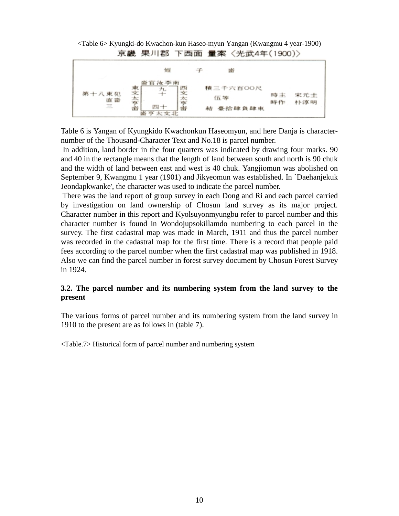<Table 6> Kyungki-do Kwachon-kun Haseo-myun Yangan (Kwangmu 4 year-1900) 京畿 果川郡 下西面 量案〈光武4年(1900)〉



Table 6 is Yangan of Kyungkido Kwachonkun Haseomyun, and here Danja is characternumber of the Thousand-Character Text and No.18 is parcel number.

 In addition, land border in the four quarters was indicated by drawing four marks. 90 and 40 in the rectangle means that the length of land between south and north is 90 chuk and the width of land between east and west is 40 chuk. Yangjiomun was abolished on September 9, Kwangmu 1 year (1901) and Jikyeomun was established. In `Daehanjekuk Jeondapkwanke', the character was used to indicate the parcel number.

 There was the land report of group survey in each Dong and Ri and each parcel carried by investigation on land ownership of Chosun land survey as its major project. Character number in this report and Kyolsuyonmyungbu refer to parcel number and this character number is found in Wondojupsokillamdo numbering to each parcel in the survey. The first cadastral map was made in March, 1911 and thus the parcel number was recorded in the cadastral map for the first time. There is a record that people paid fees according to the parcel number when the first cadastral map was published in 1918. Also we can find the parcel number in forest survey document by Chosun Forest Survey in 1924.

# **3.2. The parcel number and its numbering system from the land survey to the present**

The various forms of parcel number and its numbering system from the land survey in 1910 to the present are as follows in (table 7).

<Table.7> Historical form of parcel number and numbering system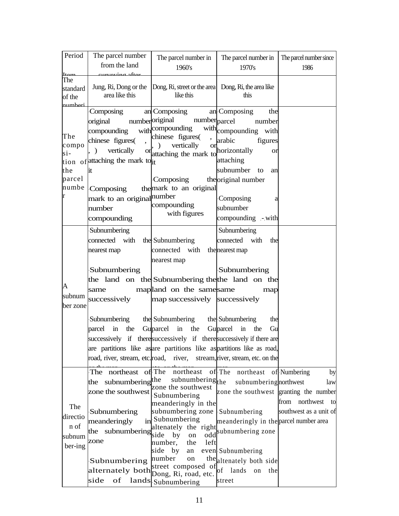| Period          | The parcel number                           | The parcel number in                                                   | The parcel number in                   | The parcel number since |
|-----------------|---------------------------------------------|------------------------------------------------------------------------|----------------------------------------|-------------------------|
|                 | from the land                               | 1960's                                                                 | 1970's                                 | 1986                    |
| $_{\text{Lam}}$ | www.ipa.oftor                               |                                                                        |                                        |                         |
| The             | Jung, Ri, Dong or the                       | Dong, Ri, street or the area Dong, Ri, the area like                   |                                        |                         |
| standard        | area like this                              | like this                                                              | this                                   |                         |
| of the          |                                             |                                                                        |                                        |                         |
| numheri         | Composing                                   | an Composing                                                           | an Composing<br>the                    |                         |
|                 | original                                    | numberoriginal<br>number <sub>parcel</sub>                             | number                                 |                         |
|                 | compounding                                 | with compounding                                                       | with compounding with                  |                         |
| The             |                                             | chinese figures(<br>$\overline{\phantom{a}}$                           |                                        |                         |
| compo           | chinese figures(                            | vertically<br>or                                                       | arabic<br>figures                      |                         |
| $\sin$          | vertically<br>, )                           | or attaching the mark to horizontally                                  | <sub>or</sub>                          |                         |
|                 | tion of attaching the mark to <sub>it</sub> |                                                                        | attaching                              |                         |
| the             | lit                                         |                                                                        | subnumber to<br>an                     |                         |
| parcel          |                                             | Composing                                                              | the original number                    |                         |
| numbe           | Composing                                   | the mark to an original                                                |                                        |                         |
| r               | mark to an original number                  |                                                                        | Composing<br>a                         |                         |
|                 | number                                      | compounding                                                            | subnumber                              |                         |
|                 | compounding                                 | with figures                                                           | compounding - with                     |                         |
|                 | Subnumbering                                |                                                                        | Subnumbering                           |                         |
|                 | connected with                              | the Subnumbering                                                       | connected with<br>the                  |                         |
|                 | nearest map                                 | connected with                                                         | the nearest map                        |                         |
|                 |                                             | nearest map                                                            |                                        |                         |
|                 | Subnumbering                                |                                                                        | Subnumbering                           |                         |
|                 |                                             | the land on the Subnumbering the the land on the                       |                                        |                         |
| A               | same                                        | mapland on the same same                                               | map                                    |                         |
| subnum          | successively                                | map successively successively                                          |                                        |                         |
| ber zone        |                                             |                                                                        |                                        |                         |
|                 | Subnumbering                                | the Subnumbering                                                       | the Subnumbering<br>the                |                         |
|                 | parcel in<br>the                            | Guparcel in<br>the                                                     | Guparcel<br>Gu<br>in<br>the            |                         |
|                 |                                             | successively if there successively if there successively if there are  |                                        |                         |
|                 |                                             | are partitions like as are partitions like as partitions like as road, |                                        |                         |
|                 |                                             |                                                                        | stream, river, stream, etc. on the     |                         |
|                 | road, river, stream, etc. road, river,      |                                                                        |                                        |                         |
|                 | The northeast of The                        | northeast                                                              | of The<br>northeast                    | of Numbering<br>by      |
|                 | the subnumbering the                        | $subnumbering$ <sub>the</sub>                                          | subnumberingnorthwest                  | law                     |
|                 | zone the southwest                          | zone the southwest                                                     | zone the southwest granting the number |                         |
| The             |                                             | Subnumbering<br>meanderingly in the                                    |                                        | from northwest<br>to    |
|                 | Subnumbering                                | subnumbering zone                                                      | Subnumbering                           | southwest as a unit of  |
| directio        | meanderingly                                | in Subnumbering                                                        | meanderingly in the parcel number area |                         |
| n of            |                                             | altenately the right                                                   |                                        |                         |
| subnum          | the subnumbering                            | side<br>by<br>on                                                       | subnumbering zone                      |                         |
| ber-ing         | zone                                        | number,<br>left<br>the                                                 |                                        |                         |
|                 |                                             | side<br>by<br>an                                                       | even Subnumbering                      |                         |
|                 | Subnumbering                                | number<br>on                                                           | the altenately both side               |                         |
|                 | alternately both                            | street composed of<br>Dong, Ri, road, etc.                             | $\sigma$<br>lands<br>the<br>on         |                         |
|                 | side<br>of                                  | lands Subnumbering                                                     | street                                 |                         |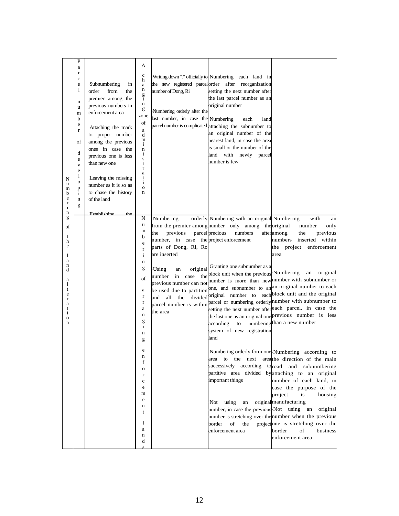| P<br>a<br>$\bf r$<br>c<br>e<br>1<br>$\mathbf n$<br>u<br>m<br>b<br>e<br>$\mathbf r$<br>of<br>d<br>e<br>$\mathbf{V}$<br>e<br>1<br>N<br>$\mathbf O$<br>u<br>p<br>m<br>b<br>i<br>e<br>$\mathbf n$<br>$\mathbf r$<br>g<br>$\mathbf{i}$<br>n | Subnumbering<br>in<br>order<br>from<br>the<br>premier among the<br>previous numbers in<br>enforcement area<br>Attaching the mark<br>to proper number<br>among the previous<br>ones in case the<br>previous one is less<br>than new one<br>Leaving the missing<br>number as it is so as<br>to chase the history<br>of the land | A<br>$\mathbf c$<br>h<br>a<br>n<br>$\frac{g}{1}$<br>n<br>g<br>zone<br>of<br>a<br>d<br>m<br>i<br>n<br>i<br>S<br>t<br>$\mathbf{r}$<br>a<br>t<br>i<br>$\Omega$<br>n                                                                   | number of Dong, Ri<br>Numbering orderly after the<br>last number, in case the Numbering                                                                                                                                                        | Writing down "." officially to Numbering each land in<br>the new registered parcel order after reorganization<br>setting the next number after<br>the last parcel number as an<br>original number<br>each<br>land<br>parcel number is complicated attaching the subnumber to<br>an original number of the<br>nearest land, in case the area<br>is small or the number of the<br>land with newly parcel<br>number is few                            |                                                                                                                                                                                                                                                                                                                                                                                                                                                                                                                                                                                                                                                                                                                                                                                                                                                                                                                                                                                                                                                |
|----------------------------------------------------------------------------------------------------------------------------------------------------------------------------------------------------------------------------------------|-------------------------------------------------------------------------------------------------------------------------------------------------------------------------------------------------------------------------------------------------------------------------------------------------------------------------------|------------------------------------------------------------------------------------------------------------------------------------------------------------------------------------------------------------------------------------|------------------------------------------------------------------------------------------------------------------------------------------------------------------------------------------------------------------------------------------------|----------------------------------------------------------------------------------------------------------------------------------------------------------------------------------------------------------------------------------------------------------------------------------------------------------------------------------------------------------------------------------------------------------------------------------------------------|------------------------------------------------------------------------------------------------------------------------------------------------------------------------------------------------------------------------------------------------------------------------------------------------------------------------------------------------------------------------------------------------------------------------------------------------------------------------------------------------------------------------------------------------------------------------------------------------------------------------------------------------------------------------------------------------------------------------------------------------------------------------------------------------------------------------------------------------------------------------------------------------------------------------------------------------------------------------------------------------------------------------------------------------|
| g<br>of<br>t<br>h<br>e<br>1<br>a<br>n<br>d<br>а<br>1<br>t<br>e<br>r<br>a<br>t<br>i<br>o<br>n                                                                                                                                           | Establishing the                                                                                                                                                                                                                                                                                                              | N<br>u<br>m<br>b<br>e<br>$\mathbf r$<br>$\mathbf{i}$<br>n<br>g<br>of<br>a<br>$\bf r$<br>$\bf r$<br>a<br>$\mathbf n$<br>g<br>$\mathbf{i}$<br>n<br>g<br>n<br>f<br>0<br>r<br>$\mathbf c$<br>e<br>m<br>e<br>n<br>t<br>1<br>a<br>n<br>d | Numbering<br>the<br>previous<br>number, in case the project enforcement<br>parts of Dong, Ri, Ro<br>are inserted<br><b>Using</b><br>original<br>an<br>number in case<br>the<br>previous number can not<br>be used due to partition<br>the area | orderly Numbering with an original Numbering<br>from the premier among number only among the original<br>parcel precious<br>numbers<br>Granting one subnumber as a<br>block unit when the previous <sup>.</sup> Numbering<br>according<br>to<br>system of new registration<br>land<br>to<br>the<br>next<br>area<br>important things<br>using<br>Not.<br>an<br>number, in case the previous Not using an<br>border<br>of<br>the<br>enforcement area | with<br>an<br>number<br>only<br>afteramong<br>the<br>previous<br>numbers<br>inserted within<br>the project enforcement<br>area<br>original<br>an<br>number is more than new number with subnumber or<br>one, and subnumber to an an original number to each<br>and all the divided original number to each block unit and the original<br>parcel number is within parcel or numbering orderly number with subnumber to<br>setting the next number after each parcel, in case the<br>the last one as an original one previous number is less<br>numberingthan a new number<br>Numbering orderly form one Numbering according to<br>areathe direction of the main<br>successively according toroad and subnumbering<br>partitive area divided by attaching to an original<br>number of each land, in<br>case the purpose of the<br>project<br>is<br>housing<br>original manufacturing<br>original<br>number is stretching over the number when the previous<br>projectone is stretching over the<br>of<br>border<br>business<br>enforcement area |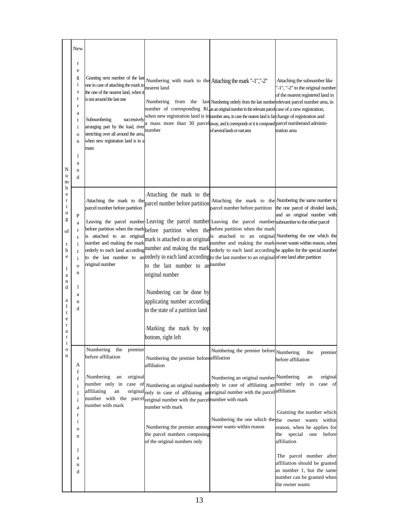| N<br>u<br>m<br>b<br>e<br>$\mathbf r$<br>$\mathbf{i}$<br>n<br>g<br>of<br>t<br>h<br>e<br>1<br>a<br>n<br>d<br>a<br>1<br>t<br>e<br>$\mathbf r$ | New<br>r<br>e<br>g<br>i<br>S<br>t<br>$\mathbf r$<br>a<br>t<br>i<br>$\mathbf 0$<br>n<br>1<br>a | Granting next number of the last<br>one in case of attaching the mark to<br>the one of the nearest land, when it<br>is not around the last one<br>Subnumbering<br>successively<br>arranging part by the load, river<br>stretching over all around the area,<br>when new registration land is in a<br>mass | Numbering with mark to the Attaching the mark "-1","-2"<br>nearest land<br>number                                                         | Numbering from the last Numbering orderly from the last number relevant parcel number area, in<br>number of corresponding Ri, as an original number in the relevant parcel case of a new registration,<br>when new registration land is in number area, in case the nearest land is farchange of registration and<br>a mass more than 30 parcel away, and it corresponds or it is composed parcel numberand adminis-<br>of several lands or vast area                                                                                                                                                                            | Attaching the subnumber like<br>"-1", "-2" to the original number<br>of the nearest registered land in<br>tration area                 |
|--------------------------------------------------------------------------------------------------------------------------------------------|-----------------------------------------------------------------------------------------------|-----------------------------------------------------------------------------------------------------------------------------------------------------------------------------------------------------------------------------------------------------------------------------------------------------------|-------------------------------------------------------------------------------------------------------------------------------------------|----------------------------------------------------------------------------------------------------------------------------------------------------------------------------------------------------------------------------------------------------------------------------------------------------------------------------------------------------------------------------------------------------------------------------------------------------------------------------------------------------------------------------------------------------------------------------------------------------------------------------------|----------------------------------------------------------------------------------------------------------------------------------------|
|                                                                                                                                            | n<br>d                                                                                        | Attaching the mark to the<br>parcel number before partition                                                                                                                                                                                                                                               | Attaching the mark to the<br>parcel number before partition                                                                               | Attaching the mark to the Numbering the same number to<br>parcel number before partition                                                                                                                                                                                                                                                                                                                                                                                                                                                                                                                                         | the one parcel of divided lands,                                                                                                       |
|                                                                                                                                            | P<br>a<br>$\mathbf r$<br>t<br>i<br>t<br>$\mathbf{i}$<br>$\mathbf 0$<br>n                      | is attached to an original<br>number and making the mark<br>original number                                                                                                                                                                                                                               | to the last number to annumber<br>original number                                                                                         | Leaving the parcel number Leaving the parcel number Leaving the parcel number subnumber to the other parcel<br>before partition when the mark before partition when the before partition when the mark<br>mark is attached to an original <sup>is</sup> attached to an original Numbering the one which the<br>number and making the mark owner wants within reason, when<br>orderly to each land according number and making the mark orderly to each land according he applies for the special number<br>to the last number to an orderly to each land according to the last number to an original of one land after partition | and an original number with                                                                                                            |
|                                                                                                                                            | 1<br>a<br>n<br>d                                                                              |                                                                                                                                                                                                                                                                                                           | Numbering can be done by<br>applicating number according<br>to the state of a partition land                                              |                                                                                                                                                                                                                                                                                                                                                                                                                                                                                                                                                                                                                                  |                                                                                                                                        |
| a<br>t                                                                                                                                     |                                                                                               |                                                                                                                                                                                                                                                                                                           | Marking the mark by top<br>bottom, right left                                                                                             |                                                                                                                                                                                                                                                                                                                                                                                                                                                                                                                                                                                                                                  |                                                                                                                                        |
| $\mathbf{i}$<br>$\mathbf O$<br>n<br>f                                                                                                      | А                                                                                             | Numbering<br>premier<br>the<br>before affiliation                                                                                                                                                                                                                                                         | Numbering the premier before affiliation<br>affiliation                                                                                   | Numbering the premier before Numbering                                                                                                                                                                                                                                                                                                                                                                                                                                                                                                                                                                                           | the<br>premier<br>before affiliation                                                                                                   |
|                                                                                                                                            | f<br>$\mathbf{i}$<br>1<br>i                                                                   | Numbering<br>an<br>original<br>affiliating<br>an<br>number with mark                                                                                                                                                                                                                                      | number with the parcel original number with the parcel number with mark                                                                   | Numbering an original number Numbering<br>number only in case of Numbering an original numberonly in case of affiliating an number only in<br>original <sub>only</sub> in case of affiliating anoriginal number with the parcelaffiliation                                                                                                                                                                                                                                                                                                                                                                                       | original<br>an<br>case of                                                                                                              |
|                                                                                                                                            | a<br>t<br>$\bf i$<br>o<br>n                                                                   |                                                                                                                                                                                                                                                                                                           | number with mark<br>Numbering the premier among owner wants within reason<br>the parcel numbers composing<br>of the original numbers only | Numbering the one which the the owner wants within                                                                                                                                                                                                                                                                                                                                                                                                                                                                                                                                                                               | Granting the number which<br>reason, when he applies for<br>the special<br>one<br>before<br>affiliation                                |
|                                                                                                                                            | 1<br>a<br>n<br>d                                                                              |                                                                                                                                                                                                                                                                                                           |                                                                                                                                           |                                                                                                                                                                                                                                                                                                                                                                                                                                                                                                                                                                                                                                  | The parcel number after<br>affiliation should be granted<br>as number 1, but the same<br>number can be granted when<br>the owner wants |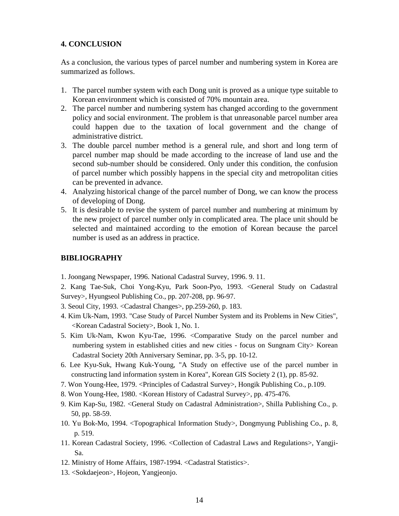#### **4. CONCLUSION**

As a conclusion, the various types of parcel number and numbering system in Korea are summarized as follows.

- 1. The parcel number system with each Dong unit is proved as a unique type suitable to Korean environment which is consisted of 70% mountain area.
- 2. The parcel number and numbering system has changed according to the government policy and social environment. The problem is that unreasonable parcel number area could happen due to the taxation of local government and the change of administrative district.
- 3. The double parcel number method is a general rule, and short and long term of parcel number map should be made according to the increase of land use and the second sub-number should be considered. Only under this condition, the confusion of parcel number which possibly happens in the special city and metropolitan cities can be prevented in advance.
- 4. Analyzing historical change of the parcel number of Dong, we can know the process of developing of Dong.
- 5. It is desirable to revise the system of parcel number and numbering at minimum by the new project of parcel number only in complicated area. The place unit should be selected and maintained according to the emotion of Korean because the parcel number is used as an address in practice.

# **BIBLIOGRAPHY**

1. Joongang Newspaper, 1996. National Cadastral Survey, 1996. 9. 11.

2. Kang Tae-Suk, Choi Yong-Kyu, Park Soon-Pyo, 1993. <General Study on Cadastral Survey>, Hyungseol Publishing Co., pp. 207-208, pp. 96-97.

- 3. Seoul City, 1993. <Cadastral Changes>, pp.259-260, p. 183.
- 4. Kim Uk-Nam, 1993. "Case Study of Parcel Number System and its Problems in New Cities", <Korean Cadastral Society>, Book 1, No. 1.
- 5. Kim Uk-Nam, Kwon Kyu-Tae, 1996. <Comparative Study on the parcel number and numbering system in established cities and new cities - focus on Sungnam City> Korean Cadastral Society 20th Anniversary Seminar, pp. 3-5, pp. 10-12.
- 6. Lee Kyu-Suk, Hwang Kuk-Young, "A Study on effective use of the parcel number in constructing land information system in Korea", Korean GIS Society 2 (1), pp. 85-92.
- 7. Won Young-Hee, 1979. <Principles of Cadastral Survey>, Hongik Publishing Co., p.109.
- 8. Won Young-Hee, 1980. <Korean History of Cadastral Survey>, pp. 475-476.
- 9. Kim Kap-Su, 1982. <General Study on Cadastral Administration>, Shilla Publishing Co., p. 50, pp. 58-59.
- 10. Yu Bok-Mo, 1994. <Topographical Information Study>, Dongmyung Publishing Co., p. 8, p. 519.
- 11. Korean Cadastral Society, 1996. <Collection of Cadastral Laws and Regulations>, Yangji-Sa.
- 12. Ministry of Home Affairs, 1987-1994. <Cadastral Statistics>.
- 13. <Sokdaejeon>, Hojeon, Yangjeonjo.